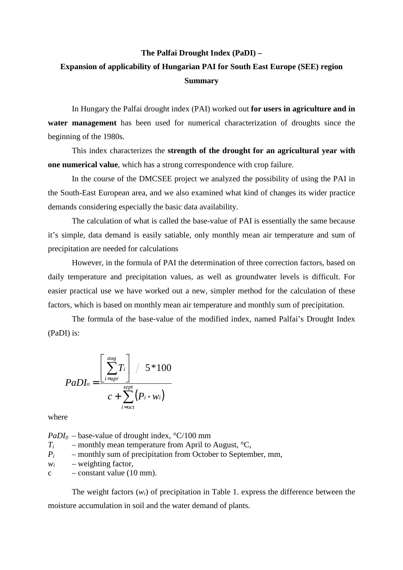## **The Palfai Drought Index (PaDI) –**

## **Expansion of applicability of Hungarian PAI for South East Europe (SEE) region Summary**

In Hungary the Palfai drought index (PAI) worked out **for users in agriculture and in water management** has been used for numerical characterization of droughts since the beginning of the 1980s.

This index characterizes the **strength of the drought for an agricultural year with one numerical value**, which has a strong correspondence with crop failure.

In the course of the DMCSEE project we analyzed the possibility of using the PAI in the South-East European area, and we also examined what kind of changes its wider practice demands considering especially the basic data availability.

The calculation of what is called the base-value of PAI is essentially the same because it's simple, data demand is easily satiable, only monthly mean air temperature and sum of precipitation are needed for calculations

However, in the formula of PAI the determination of three correction factors, based on daily temperature and precipitation values, as well as groundwater levels is difficult. For easier practical use we have worked out a new, simpler method for the calculation of these factors, which is based on monthly mean air temperature and monthly sum of precipitation.

The formula of the base-value of the modified index, named Palfai's Drought Index (PaDI) is:

$$
PaD I_o = \frac{\left[\sum_{i=apr}^{aug} T_i\right] / 5*100}{c + \sum_{i=oct}^{sept} (P_i * w_i)}
$$

where

 $PaDI<sub>0</sub>$  – base-value of drought index,  $°C/100$  mm *Ti* – monthly mean temperature from April to August,  $°C$ ,  $P_i$  – monthly sum of precipitation from October to September, mm, *wi* – weighting factor,  $c$  – constant value (10 mm).

The weight factors (*wi*) of precipitation in Table 1. express the difference between the moisture accumulation in soil and the water demand of plants.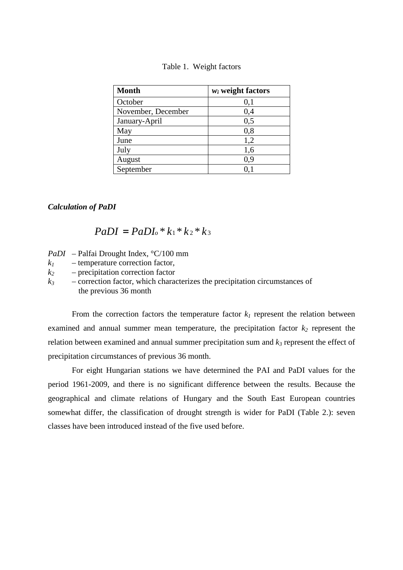| <b>Month</b>       | $w_i$ weight factors |
|--------------------|----------------------|
| October            | 0,1                  |
| November, December | 0,4                  |
| January-April      | 0,5                  |
| May                | 0,8                  |
| June               | 1,2                  |
| July               | 1,6                  |
| August             | 0,9                  |
| September          |                      |

| Table 1. | Weight factors |
|----------|----------------|
|----------|----------------|

## *Calculation of PaDI*

## $PaDI = PaDI<sub>o</sub> * k<sub>1</sub> * k<sub>2</sub> * k<sub>3</sub>$

- *PaDI* Palfai Drought Index, °C/100 mm
- $k_1$  temperature correction factor,
- *k2*  precipitation correction factor
- $k_3$  correction factor, which characterizes the precipitation circumstances of the previous 36 month

From the correction factors the temperature factor  $k_l$  represent the relation between examined and annual summer mean temperature, the precipitation factor *k2* represent the relation between examined and annual summer precipitation sum and *k3* represent the effect of precipitation circumstances of previous 36 month.

For eight Hungarian stations we have determined the PAI and PaDI values for the period 1961-2009, and there is no significant difference between the results. Because the geographical and climate relations of Hungary and the South East European countries somewhat differ, the classification of drought strength is wider for PaDI (Table 2.): seven classes have been introduced instead of the five used before.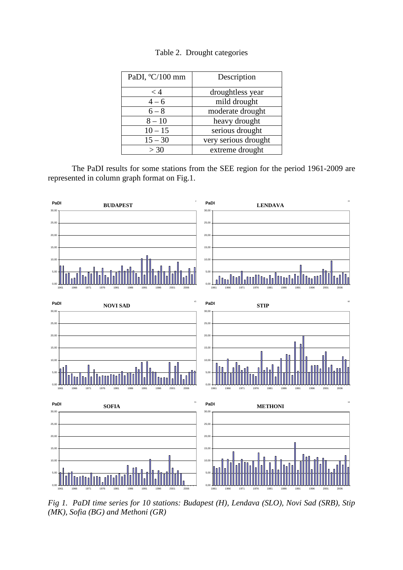| PaDI, °C/100 mm | Description          |
|-----------------|----------------------|
| < 4             | droughtless year     |
| $4 - 6$         | mild drought         |
| $6 - 8$         | moderate drought     |
| $8 - 10$        | heavy drought        |
| $10 - 15$       | serious drought      |
| $15 - 30$       | very serious drought |
| > 30            | extreme drought      |

|  |  | Table 2. Drought categories |
|--|--|-----------------------------|
|--|--|-----------------------------|

The PaDI results for some stations from the SEE region for the period 1961-2009 are represented in column graph format on Fig.1.



*Fig 1. PaDI time series for 10 stations: Budapest (H), Lendava (SLO), Novi Sad (SRB), Stip (MK), Sofia (BG) and Methoni (GR)*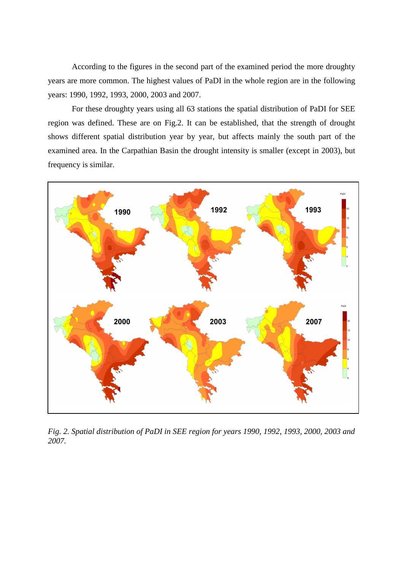According to the figures in the second part of the examined period the more droughty years are more common. The highest values of PaDI in the whole region are in the following years: 1990, 1992, 1993, 2000, 2003 and 2007.

For these droughty years using all 63 stations the spatial distribution of PaDI for SEE region was defined. These are on Fig.2. It can be established, that the strength of drought shows different spatial distribution year by year, but affects mainly the south part of the examined area. In the Carpathian Basin the drought intensity is smaller (except in 2003), but frequency is similar.



*Fig. 2. Spatial distribution of PaDI in SEE region for years 1990, 1992, 1993, 2000, 2003 and 2007.*